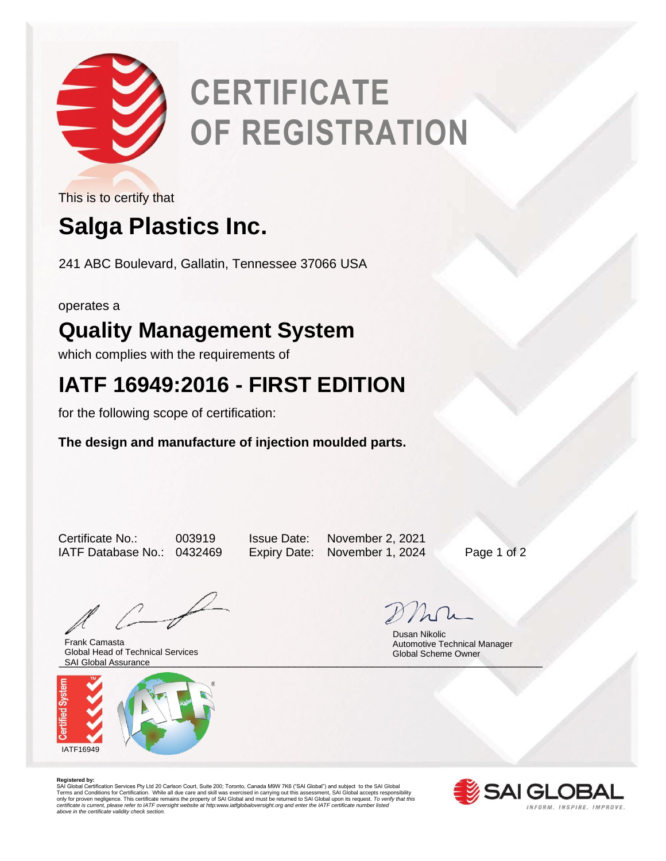

# **CERTIFICATE OF REGISTRATION**

This is to certify that

# **Salga Plastics Inc.**

241 ABC Boulevard, Gallatin, Tennessee 37066 USA

operates a

## **Quality Management System**

which complies with the requirements of

## **IATF 16949:2016 - FIRST EDITION**

for the following scope of certification:

### **The design and manufacture of injection moulded parts.**

Certificate No.: 003919 Issue Date: November 2, 2021 IATF Database No.: 0432469 Expiry Date: November 1, 2024 Page 1 of 2

\_\_\_\_\_\_\_\_\_\_\_\_\_\_\_\_\_\_\_\_\_\_\_\_\_\_\_\_\_\_\_\_\_\_\_\_\_\_\_\_\_\_\_\_\_\_\_\_\_\_\_\_\_\_\_\_\_\_\_\_\_\_\_\_\_\_\_\_\_\_\_\_\_\_\_\_\_\_\_\_ SAI Global Assurance Frank Camasta Global Head of Technical Services



 Dusan Nikolic Automotive Technical Manager Global Scheme Owner

**Registered by:**<br>SAI Global Certification Services Pty Ltd 20 Carlson Court, Suite 200; Toronto, Canada M9W 7K6 ("SAI Global") and subject to the SAI Global<br>Terms and Conditions for Certification. While all due care and sk *certificate is current, please refer to IATF oversight website at http:www.iatfglobaloversight.org and enter the IATF certificate number listed above in the certificate validity check section.*